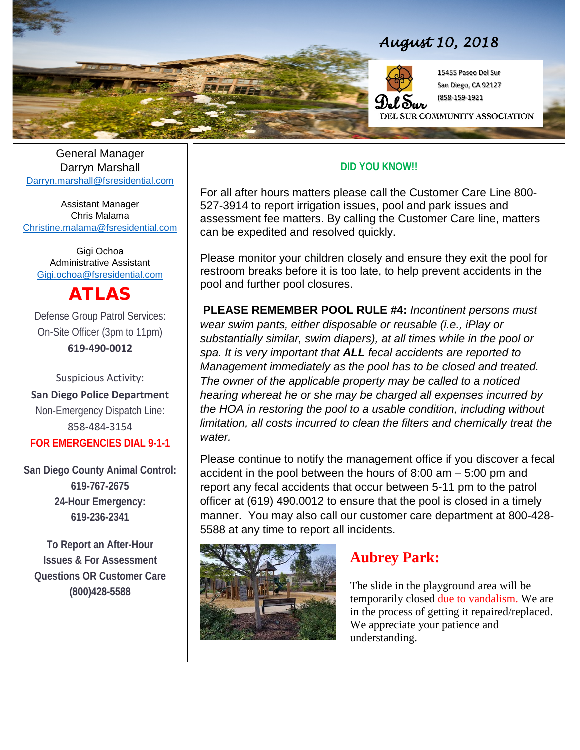

## *August 10, 2018*



15455 Paseo Del Sur San Diego, CA 92127 (858-159-1921

EL SUR COMMUNITY ASSOCIATION

General Manager Darryn Marshall [Darryn.marshall@fsresidential.com](mailto:Darryn.marshall@fsresidential.com)

Assistant Manager Chris Malama [Christine.malama@fsresidential.com](mailto:Christine.malama@fsresidential.com)

Gigi Ochoa Administrative Assistant [Gigi.ochoa@fsresidential.com](mailto:Gigi.ochoa@fsresidential.com)

# ATLAS

Defense Group Patrol Services: On-Site Officer (3pm to 11pm) **619-490-0012**

Suspicious Activity: **San Diego Police Department** Non-Emergency Dispatch Line: 858-484-3154 **FOR EMERGENCIES DIAL 9-1-1**

**San Diego County Animal Control: 619-767-2675 24-Hour Emergency: 619-236-2341**

**To Report an After-Hour Issues & For Assessment Questions OR Customer Care (800)428-5588**

#### **DID YOU KNOW!!**

For all after hours matters please call the Customer Care Line 800-<br>E27-3914 to report irrigation issues, pool and park issues and 527-3914 to report irrigation issues, pool and park issues and assessment fee matters. By calling the Customer Care line, matters can be expedited and resolved quickly.

> Please monitor your children closely and ensure they exit the pool for restroom breaks before it is too late, to help prevent accidents in the pool and further pool closures.

**PLEASE REMEMBER POOL RULE #4:** *Incontinent persons must wear swim pants, either disposable or reusable (i.e., iPlay or substantially similar, swim diapers), at all times while in the pool or spa. It is very important that ALL fecal accidents are reported to Management immediately as the pool has to be closed and treated. The owner of the applicable property may be called to a noticed hearing whereat he or she may be charged all expenses incurred by the HOA in restoring the pool to a usable condition, including without limitation, all costs incurred to clean the filters and chemically treat the water.* 

Please continue to notify the management office if you discover a fecal accident in the pool between the hours of 8:00 am – 5:00 pm and report any fecal accidents that occur between 5-11 pm to the patrol officer at (619) 490.0012 to ensure that the pool is closed in a timely manner. You may also call our customer care department at 800-428- 5588 at any time to report all incidents.



#### **Aubrey Park:**

The slide in the playground area will be temporarily closed due to vandalism. We are in the process of getting it repaired/replaced. We appreciate your patience and understanding.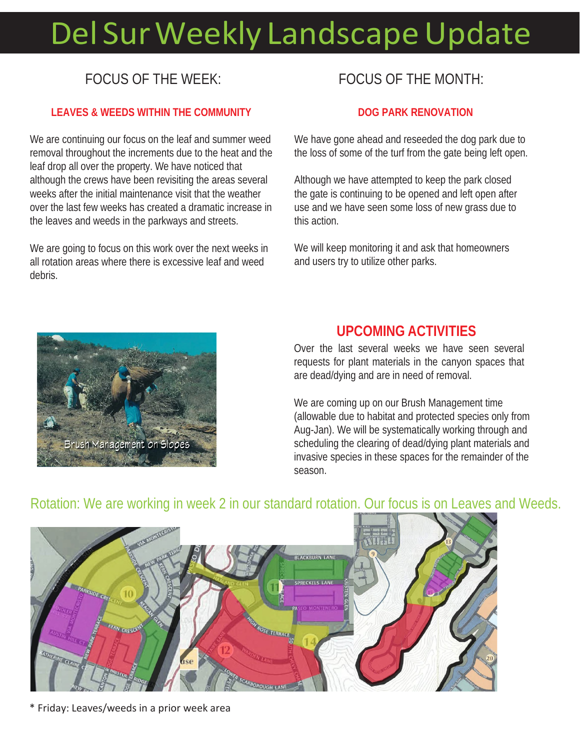# Del Sur Weekly Landscape Update

# FOCUS OF THE WEEK:

#### **LEAVES & WEEDS WITHIN THE COMMUNITY**

We are continuing our focus on the leaf and summer weed removal throughout the increments due to the heat and the leaf drop all over the property. We have noticed that although the crews have been revisiting the areas several weeks after the initial maintenance visit that the weather over the last few weeks has created a dramatic increase in the leaves and weeds in the parkways and streets.

We are going to focus on this work over the next weeks in all rotation areas where there is excessive leaf and weed debris.

## FOCUS OF THE MONTH:

#### **DOG PARK RENOVATION**

We have gone ahead and reseeded the dog park due to the loss of some of the turf from the gate being left open.

Although we have attempted to keep the park closed the gate is continuing to be opened and left open after use and we have seen some loss of new grass due to this action.

We will keep monitoring it and ask that homeowners and users try to utilize other parks.



#### **UPCOMING ACTIVITIES**

Over the last several weeks we have seen several requests for plant materials in the canyon spaces that are dead/dying and are in need of removal.

We are coming up on our Brush Management time (allowable due to habitat and protected species only from Aug-Jan). We will be systematically working through and scheduling the clearing of dead/dying plant materials and invasive species in these spaces for the remainder of the season.



### Rotation: We are working in week 2 in our standard rotation. Our focus is on Leaves and Weeds.

\* Friday: Leaves/weeds in a prior week area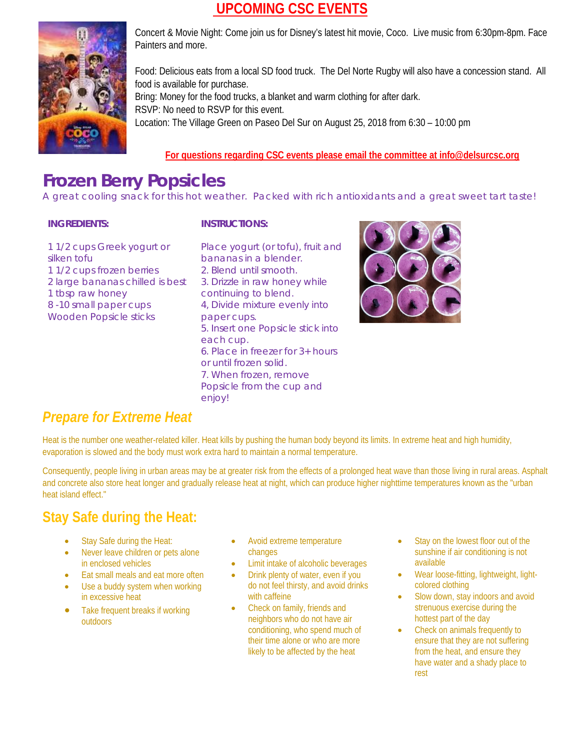#### **UPCOMING CSC EVENTS**



Concert & Movie Night: Come join us for Disney's latest hit movie, Coco. Live music from 6:30pm-8pm. Face Painters and more.

Food: Delicious eats from a local SD food truck. The Del Norte Rugby will also have a concession stand. All food is available for purchase. Bring: Money for the food trucks, a blanket and warm clothing for after dark. RSVP: No need to RSVP for this event. Location: The Village Green on Paseo Del Sur on August 25, 2018 from 6:30 – 10:00 pm

#### **For questions regarding CSC events please email the committee at info@delsurcsc.org**

## **Frozen Berry Popsicles**

A great cooling snack for this hot weather. Packed with rich antioxidants and a great sweet tart taste!

#### **INGREDIENTS:**

#### **INSTRUCTIONS:**

- 1 1/2 cups Greek yogurt or silken tofu 1 1/2 cups frozen berries 2 large bananas chilled is best 1 tbsp raw honey 8 -10 small paper cups Wooden Popsicle sticks
- Place yogurt (or tofu), fruit and bananas in a blender. 2. Blend until smooth. 3. Drizzle in raw honey while continuing to blend. 4, Divide mixture evenly into paper cups. 5. Insert one Popsicle stick into each cup. 6. Place in freezer for 3+ hours or until frozen solid. 7. When frozen, remove Popsicle from the cup and enjoy!



## *Prepare for Extreme Heat*

Heat is the number one weather-related killer. Heat kills by pushing the human body beyond its limits. In extreme heat and high humidity, evaporation is slowed and the body must work extra hard to maintain a normal temperature.

Consequently, people living in urban areas may be at greater risk from the effects of a prolonged heat wave than those living in rural areas. Asphalt and concrete also store heat longer and gradually release heat at night, which can produce higher nighttime temperatures known as the "urban heat island effect."

## **Stay Safe during the Heat:**

- Stay Safe during the Heat:
- Never leave children or pets alone in enclosed vehicles
- Eat small meals and eat more often
- Use a buddy system when working in excessive heat
- Take frequent breaks if working outdoors
- Avoid extreme temperature changes
- Limit intake of alcoholic beverages
- Drink plenty of water, even if you do not feel thirsty, and avoid drinks with caffeine
- Check on family, friends and neighbors who do not have air conditioning, who spend much of their time alone or who are more likely to be affected by the heat
- Stay on the lowest floor out of the sunshine if air conditioning is not available
- Wear loose-fitting, lightweight, lightcolored clothing
- Slow down, stay indoors and avoid strenuous exercise during the hottest part of the day
- Check on animals frequently to ensure that they are not suffering from the heat, and ensure they have water and a shady place to rest